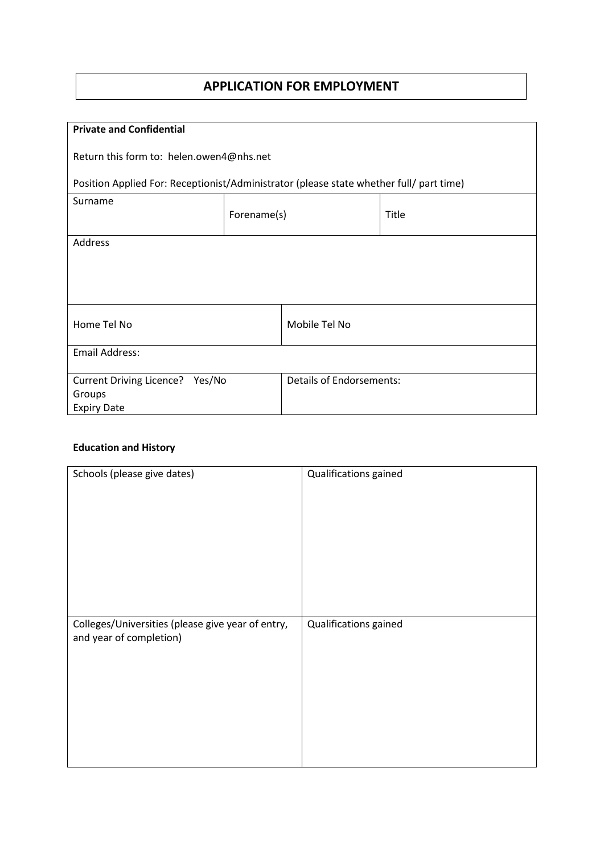# **APPLICATION FOR EMPLOYMENT**

| <b>Private and Confidential</b>                                                         |             |                                 |       |
|-----------------------------------------------------------------------------------------|-------------|---------------------------------|-------|
|                                                                                         |             |                                 |       |
| Return this form to: helen.owen4@nhs.net                                                |             |                                 |       |
|                                                                                         |             |                                 |       |
| Position Applied For: Receptionist/Administrator (please state whether full/ part time) |             |                                 |       |
| Surname                                                                                 |             |                                 |       |
|                                                                                         | Forename(s) |                                 | Title |
|                                                                                         |             |                                 |       |
| Address                                                                                 |             |                                 |       |
|                                                                                         |             |                                 |       |
|                                                                                         |             |                                 |       |
|                                                                                         |             |                                 |       |
|                                                                                         |             |                                 |       |
|                                                                                         |             |                                 |       |
| Home Tel No                                                                             |             | Mobile Tel No                   |       |
|                                                                                         |             |                                 |       |
| <b>Email Address:</b>                                                                   |             |                                 |       |
|                                                                                         |             |                                 |       |
| Current Driving Licence? Yes/No                                                         |             | <b>Details of Endorsements:</b> |       |
| Groups                                                                                  |             |                                 |       |
| <b>Expiry Date</b>                                                                      |             |                                 |       |

### **Education and History**

| Schools (please give dates)                                                  | Qualifications gained |
|------------------------------------------------------------------------------|-----------------------|
| Colleges/Universities (please give year of entry,<br>and year of completion) | Qualifications gained |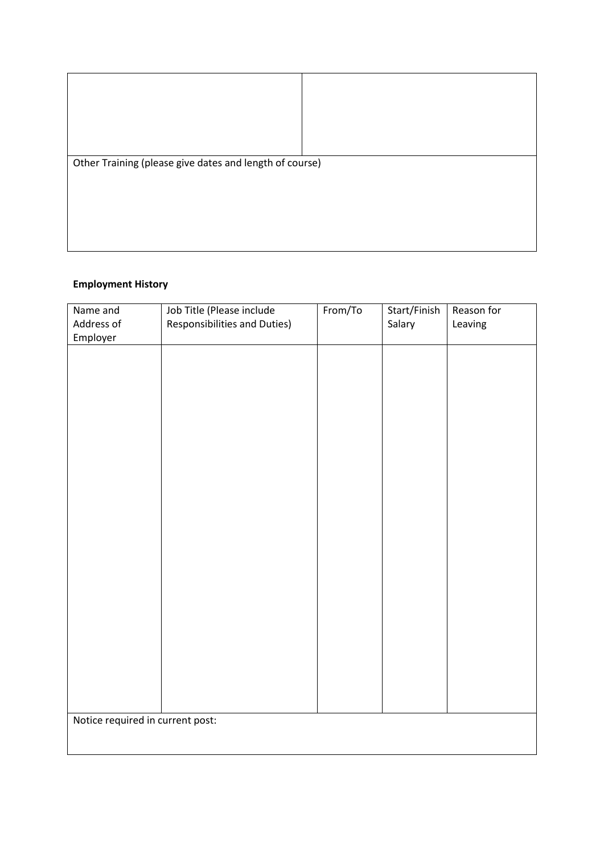| Other Training (please give dates and length of course) |  |  |
|---------------------------------------------------------|--|--|
|                                                         |  |  |
|                                                         |  |  |
|                                                         |  |  |
|                                                         |  |  |
|                                                         |  |  |
|                                                         |  |  |

## **Employment History**

| Name and                         | Job Title (Please include           | From/To | Start/Finish | Reason for |
|----------------------------------|-------------------------------------|---------|--------------|------------|
| Address of                       | <b>Responsibilities and Duties)</b> |         | Salary       | Leaving    |
| Employer                         |                                     |         |              |            |
|                                  |                                     |         |              |            |
|                                  |                                     |         |              |            |
|                                  |                                     |         |              |            |
|                                  |                                     |         |              |            |
|                                  |                                     |         |              |            |
|                                  |                                     |         |              |            |
|                                  |                                     |         |              |            |
|                                  |                                     |         |              |            |
|                                  |                                     |         |              |            |
|                                  |                                     |         |              |            |
|                                  |                                     |         |              |            |
|                                  |                                     |         |              |            |
|                                  |                                     |         |              |            |
|                                  |                                     |         |              |            |
|                                  |                                     |         |              |            |
|                                  |                                     |         |              |            |
|                                  |                                     |         |              |            |
|                                  |                                     |         |              |            |
|                                  |                                     |         |              |            |
|                                  |                                     |         |              |            |
|                                  |                                     |         |              |            |
|                                  |                                     |         |              |            |
|                                  |                                     |         |              |            |
|                                  |                                     |         |              |            |
|                                  |                                     |         |              |            |
|                                  |                                     |         |              |            |
|                                  |                                     |         |              |            |
| Notice required in current post: |                                     |         |              |            |
|                                  |                                     |         |              |            |
|                                  |                                     |         |              |            |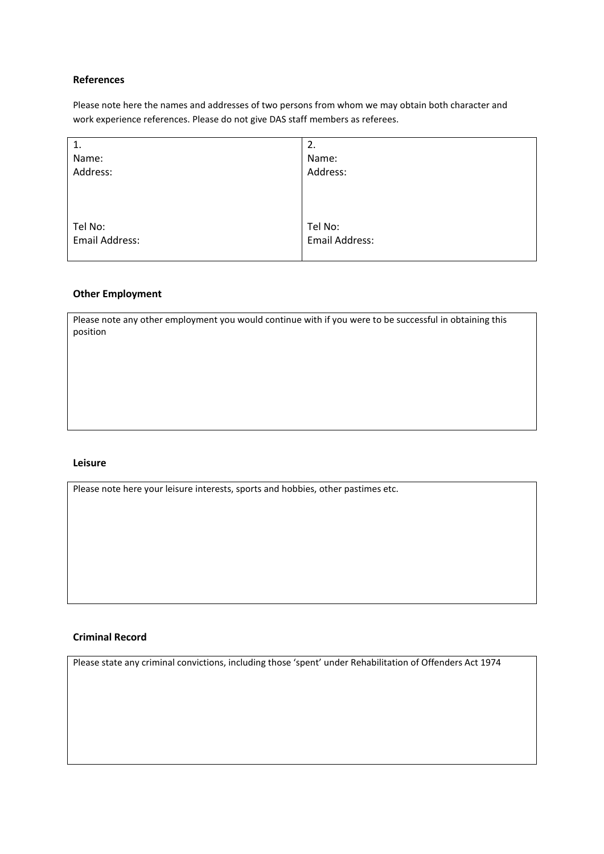#### **References**

Please note here the names and addresses of two persons from whom we may obtain both character and work experience references. Please do not give DAS staff members as referees.

| 1.             | 2.                    |
|----------------|-----------------------|
| Name:          | Name:                 |
| Address:       | Address:              |
|                |                       |
|                |                       |
|                |                       |
| Tel No:        | Tel No:               |
| Email Address: | <b>Email Address:</b> |
|                |                       |

#### **Other Employment**

Please note any other employment you would continue with if you were to be successful in obtaining this position

#### **Leisure**

Please note here your leisure interests, sports and hobbies, other pastimes etc.

#### **Criminal Record**

Please state any criminal convictions, including those 'spent' under Rehabilitation of Offenders Act 1974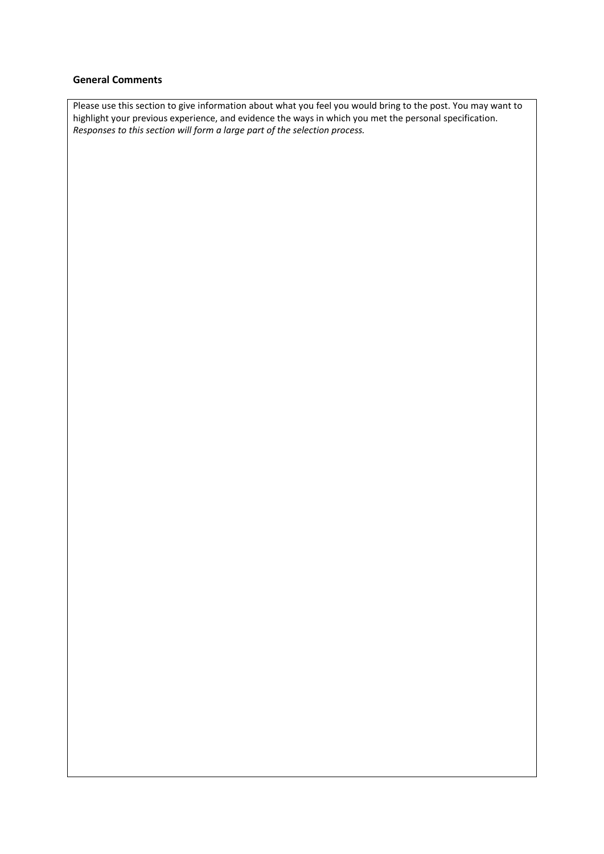#### **General Comments**

Please use this section to give information about what you feel you would bring to the post. You may want to highlight your previous experience, and evidence the ways in which you met the personal specification. *Responses to this section will form a large part of the selection process.*